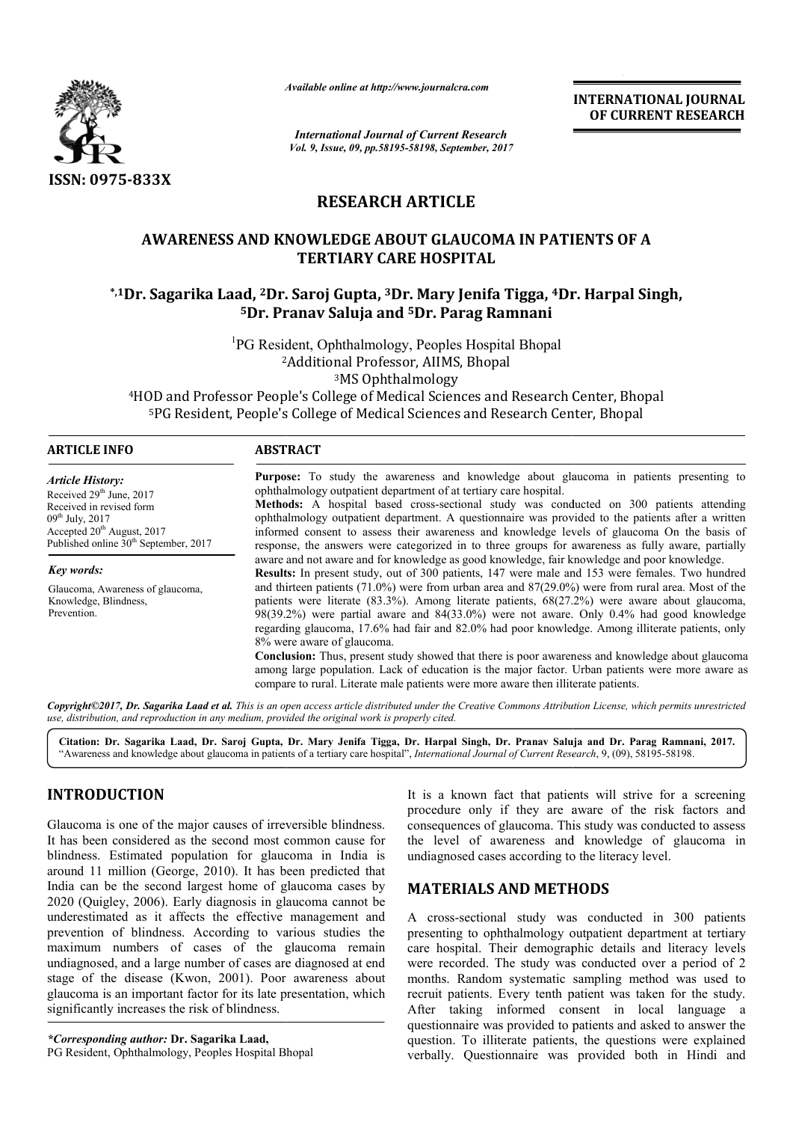

*Available online at http://www.journalcra.com*

*International Journal of Current Research Vol. 9, Issue, 09, pp.58195-58198, September, 2017* **INTERNATIONAL JOURNAL OF CURRENT RESEARCH**

# **RESEARCH ARTICLE**

# **AWARENESS AND KNOWLEDGE ABOUT GLAUCOMA IN PATIENTS OF A**  AWARENESS AND KNOWLEDGE ABOUT GLAUCOMA IN PATIENTS OF A<br>TERTIARY CARE HOSPITAL<br><sup>\*,1</sup>Dr. Sagarika Laad, <sup>2</sup>Dr. Saroj Gupta, <sup>3</sup>Dr. Mary Jenifa Tigga, <sup>4</sup>Dr. Harpal Singh,\* **TERTIARY CARE HOSPITAL**

# **5Dr. Pranav Saluja and 5Dr. Parag Ramnani**

<sup>1</sup>PG Resident, Ophthalmology, Peoples Hospital Bhopal 2 2Additional Professor, AIIMS, Bhopal 3MS Ophthalmology

4HOD and Professor People's College of Medical Sciences and Research Center, Bhopal )D and Professor People's College of Medical Sciences and Research Center, Bhopal<br><sup>5</sup>PG Resident, People's College of Medical Sciences and Research Center, Bhopal

| ARTICLE INFO                                                                                                                                                                           | <b>ABSTRACT</b>                                                                                                                                                                                                                                                                                                                                                                                                                                                                                                                                                                                                                                                                                                                                        |  |  |  |
|----------------------------------------------------------------------------------------------------------------------------------------------------------------------------------------|--------------------------------------------------------------------------------------------------------------------------------------------------------------------------------------------------------------------------------------------------------------------------------------------------------------------------------------------------------------------------------------------------------------------------------------------------------------------------------------------------------------------------------------------------------------------------------------------------------------------------------------------------------------------------------------------------------------------------------------------------------|--|--|--|
| Article History:<br>Received $29th$ June, $2017$<br>Received in revised form<br>$09th$ July, 2017<br>Accepted $20th$ August, 2017<br>Published online 30 <sup>th</sup> September, 2017 | <b>Purpose:</b> To study the awareness and knowledge about glaucoma in patients presenting to<br>ophthalmology outpatient department of at tertiary care hospital.<br>Methods: A hospital based cross-sectional study was conducted on 300 patients attending<br>ophthalmology outpatient department. A questionnaire was provided to the patients after a written<br>informed consent to assess their awareness and knowledge levels of glaucoma On the basis of<br>response, the answers were categorized in to three groups for awareness as fully aware, partially                                                                                                                                                                                 |  |  |  |
| Key words:                                                                                                                                                                             | aware and not aware and for knowledge as good knowledge, fair knowledge and poor knowledge.<br><b>Results:</b> In present study, out of 300 patients, 147 were male and 153 were females. Two hundred                                                                                                                                                                                                                                                                                                                                                                                                                                                                                                                                                  |  |  |  |
| Glaucoma, Awareness of glaucoma,<br>Knowledge, Blindness,<br>Prevention.                                                                                                               | and thirteen patients $(71.0\%)$ were from urban area and $87(29.0\%)$ were from rural area. Most of the<br>patients were literate $(83.3\%)$ . Among literate patients, $68(27.2\%)$ were aware about glaucoma,<br>$98(39.2%)$ were partial aware and $84(33.0%)$ were not aware. Only 0.4% had good knowledge<br>regarding glaucoma, 17.6% had fair and 82.0% had poor knowledge. Among illiterate patients, only<br>8% were aware of glaucoma.<br><b>Conclusion:</b> Thus, present study showed that there is poor awareness and knowledge about glaucoma<br>among large population. Lack of education is the major factor. Urban patients were more aware as<br>compare to rural. Literate male patients were more aware then illiterate patients. |  |  |  |

Copyright©2017, Dr. Sagarika Laad et al. This is an open access article distributed under the Creative Commons Attribution License, which permits unrestricted *use, distribution, and reproduction in any medium, provided the original work is properly cited.*

Citation: Dr. Sagarika Laad, Dr. Saroj Gupta, Dr. Mary Jenifa Tigga, Dr. Harpal Singh, Dr. Pranav Saluja and Dr. Parag Ramnani, 2017. "Awareness and knowledge about glaucoma in patients of a tertiary care hospital", *International Journal of Current Research*, 9, (09), 58195-58198.

## **INTRODUCTION**

Glaucoma is one of the major causes of irreversible blindness. It has been considered as the second most common cause for blindness. Estimated population for glaucoma in India is around 11 million (George, 2010). It has been predicted that India can be the second largest home of glaucoma cases by 2020 (Quigley, 2006). Early diagnosis in glaucoma cannot be underestimated as it affects the effective management and prevention of blindness. According to various studies the maximum numbers of cases of the glaucoma remain undiagnosed, and a large number of cases are diagnosed at end stage of the disease (Kwon, 2001). Poor awareness about glaucoma is an important factor for its late presentation, wh significantly increases the risk of blindness. rding to various studies the<br>of the glaucoma remain<br>r of cases are diagnosed at end<br>2001). Poor awareness about<br>for its late presentation, which

*\*Corresponding author:* **Dr. Sagarika Laad,** PG Resident, Ophthalmology, Peoples Hospital Bhopal

It is a known fact that patients will strive for a screening procedure only if they are aware of the risk factors and consequences of glaucoma. This study was conducted to assess the level of awareness and knowledge of glaucoma in undiagnosed cases according to the literacy level. consequences of glaucoma. This<br>the level of awareness and<br>undiagnosed cases according to t

# **MATERIALS AND METHODS METHODS**

A cross-sectional study was conducted in 300 patients presenting to ophthalmology outpatient department at tertiary care hospital. Their demographic details and literacy levels were recorded. The study was conducted over a period of 2 months. Random systematic sampling method was used to recruit patients. Every tenth patient was taken for the study. After taking informed consent in local language a questionnaire was provided to patients and asked to answer the question. To illiterate patients, the questions were explained verbally. Questionnaire was provided bo A cross-sectional study was conducted in 300 patients<br>presenting to ophthalmology outpatient department at tertiary<br>care hospital. Their demographic details and literacy levels<br>were recorded. The study was conducted over a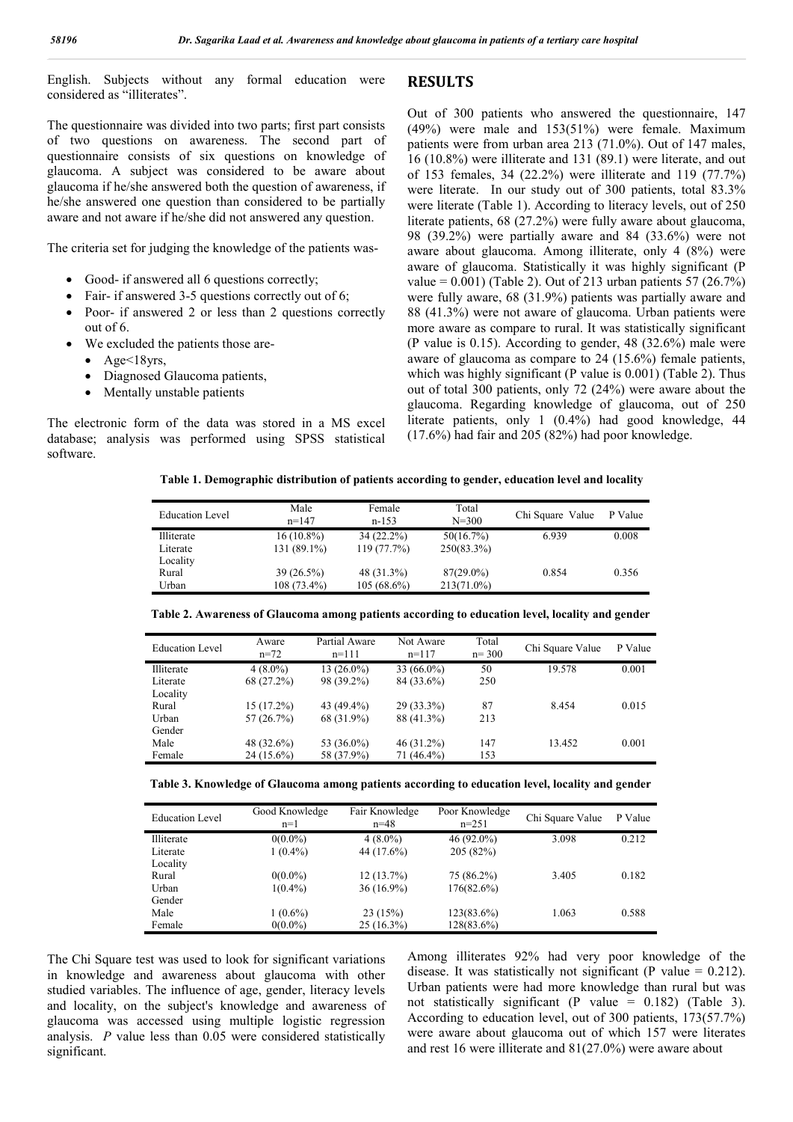English. Subjects without any formal education were considered as "illiterates".

The questionnaire was divided into two parts; first part consists of two questions on awareness. The second part of questionnaire consists of six questions on knowledge of glaucoma. A subject was considered to be aware about glaucoma if he/she answered both the question of awareness, if he/she answered one question than considered to be partially aware and not aware if he/she did not answered any question.

The criteria set for judging the knowledge of the patients was-

- Good- if answered all 6 questions correctly;
- Fair- if answered 3-5 questions correctly out of 6;
- Poor- if answered 2 or less than 2 questions correctly out of 6.
- We excluded the patients those are-
	- $\triangle$  Age $\leq$ 18yrs,
	- Diagnosed Glaucoma patients,
	- Mentally unstable patients

The electronic form of the data was stored in a MS excel database; analysis was performed using SPSS statistical software.

**RESULTS**

Out of 300 patients who answered the questionnaire, 147 (49%) were male and 153(51%) were female. Maximum patients were from urban area 213 (71.0%). Out of 147 males, 16 (10.8%) were illiterate and 131 (89.1) were literate, and out of 153 females, 34 (22.2%) were illiterate and 119 (77.7%) were literate. In our study out of 300 patients, total 83.3% were literate (Table 1). According to literacy levels, out of 250 literate patients, 68 (27.2%) were fully aware about glaucoma, 98 (39.2%) were partially aware and 84 (33.6%) were not aware about glaucoma. Among illiterate, only 4 (8%) were aware of glaucoma. Statistically it was highly significant (P value =  $0.001$ ) (Table 2). Out of 213 urban patients 57 (26.7%) were fully aware, 68 (31.9%) patients was partially aware and 88 (41.3%) were not aware of glaucoma. Urban patients were more aware as compare to rural. It was statistically significant (P value is 0.15). According to gender, 48 (32.6%) male were aware of glaucoma as compare to 24 (15.6%) female patients, which was highly significant (P value is 0.001) (Table 2). Thus out of total 300 patients, only 72 (24%) were aware about the glaucoma. Regarding knowledge of glaucoma, out of 250 literate patients, only 1 (0.4%) had good knowledge, 44 (17.6%) had fair and 205 (82%) had poor knowledge.

**Table 1. Demographic distribution of patients according to gender, education level and locality**

| <b>Education Level</b> | Male<br>$n=147$ | Female<br>n-153 | Total<br>$N = 300$ | Chi Square Value | P Value |
|------------------------|-----------------|-----------------|--------------------|------------------|---------|
| Illiterate             | $16(10.8\%)$    | $34(22.2\%)$    | 50(16.7%)          | 6.939            | 0.008   |
| Literate               | 131 (89.1%)     | 119(77.7%)      | 250(83.3%)         |                  |         |
| Locality               |                 |                 |                    |                  |         |
| Rural                  | $39(26.5\%)$    | 48 (31.3%)      | $87(29.0\%)$       | 0.854            | 0.356   |
| Urban                  | 108 (73.4%)     | $105(68.6\%)$   | 213(71.0%)         |                  |         |

**Table 2. Awareness of Glaucoma among patients according to education level, locality and gender**

| Education Level | Aware<br>$n=72$ | Partial Aware<br>$n=111$ | Not Aware<br>$n=117$ | Total<br>$n = 300$ | Chi Square Value | P Value |
|-----------------|-----------------|--------------------------|----------------------|--------------------|------------------|---------|
| Illiterate      | $4(8.0\%)$      | $13(26.0\%)$             | $33(66.0\%)$         | 50                 | 19.578           | 0.001   |
| Literate        | 68 (27.2%)      | 98 (39.2%)               | 84 (33.6%)           | 250                |                  |         |
| Locality        |                 |                          |                      |                    |                  |         |
| Rural           | $15(17.2\%)$    | 43 (49.4%)               | $29(33.3\%)$         | 87                 | 8.454            | 0.015   |
| Urban           | 57(26.7%)       | 68 (31.9%)               | 88 (41.3%)           | 213                |                  |         |
| Gender          |                 |                          |                      |                    |                  |         |
| Male            | 48 (32.6%)      | 53 (36.0%)               | $46(31.2\%)$         | 147                | 13.452           | 0.001   |
| Female          | $24(15.6\%)$    | 58 (37.9%)               | 71 (46.4%)           | 153                |                  |         |

**Table 3. Knowledge of Glaucoma among patients according to education level, locality and gender**

| <b>Education Level</b> | Good Knowledge<br>$n=1$ | Fair Knowledge<br>$n = 48$ | Poor Knowledge<br>$n=251$ | Chi Square Value | P Value |
|------------------------|-------------------------|----------------------------|---------------------------|------------------|---------|
| Illiterate             | $0(0.0\%)$              | $4(8.0\%)$                 | $46(92.0\%)$              | 3.098            | 0.212   |
| Literate               | $1(0.4\%)$              | 44 (17.6%)                 | 205(82%)                  |                  |         |
| Locality               |                         |                            |                           |                  |         |
| Rural                  | $0(0.0\%)$              | 12(13.7%)                  | 75 (86.2%)                | 3.405            | 0.182   |
| Urban                  | $1(0.4\%)$              | $36(16.9\%)$               | $176(82.6\%)$             |                  |         |
| Gender                 |                         |                            |                           |                  |         |
| Male                   | $1(0.6\%)$              | 23(15%)                    | $123(83.6\%)$             | 1.063            | 0.588   |
| Female                 | $0(0.0\%)$              | $25(16.3\%)$               | $128(83.6\%)$             |                  |         |

The Chi Square test was used to look for significant variations in knowledge and awareness about glaucoma with other studied variables. The influence of age, gender, literacy levels and locality, on the subject's knowledge and awareness of glaucoma was accessed using multiple logistic regression analysis. *P* value less than 0.05 were considered statistically significant.

Among illiterates 92% had very poor knowledge of the disease. It was statistically not significant (P value  $= 0.212$ ). Urban patients were had more knowledge than rural but was not statistically significant (P value = 0.182) (Table 3). According to education level, out of 300 patients, 173(57.7%) were aware about glaucoma out of which 157 were literates and rest 16 were illiterate and 81(27.0%) were aware about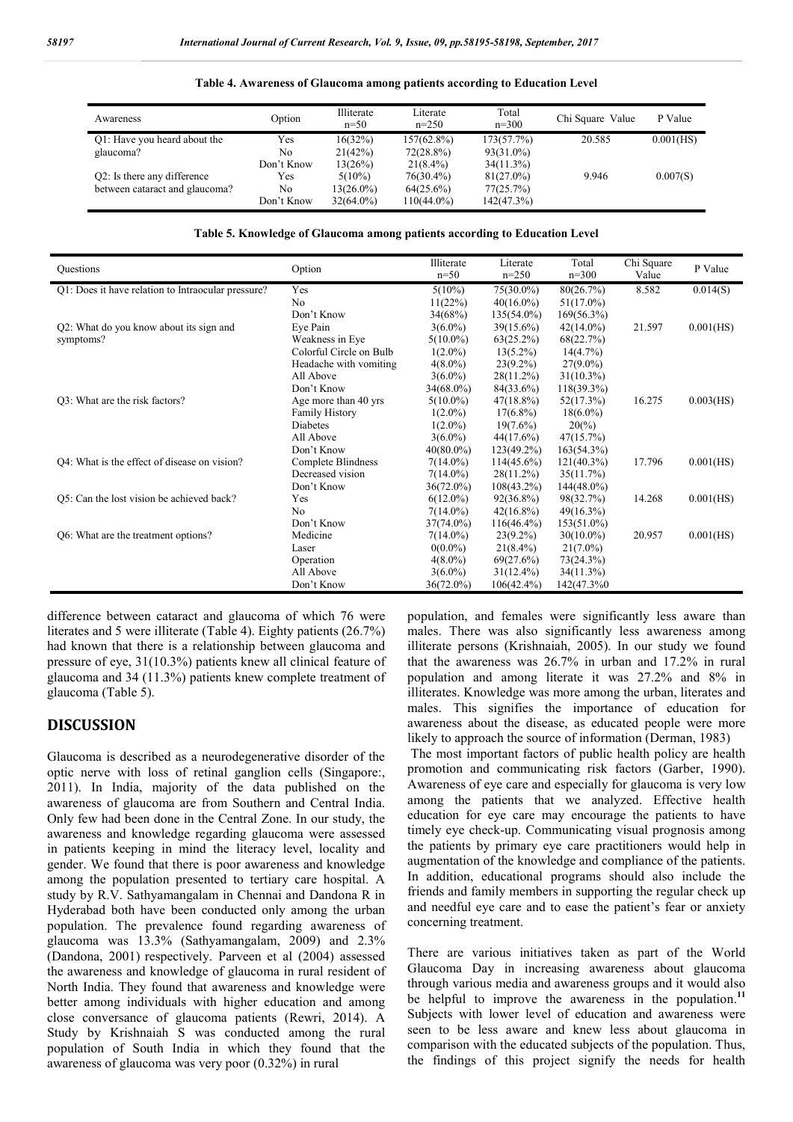| Awareness                      | Option     | Illiterate<br>$n=50$ | Literate<br>$n=250$ | Total<br>$n=300$ | Chi Square Value | P Value   |
|--------------------------------|------------|----------------------|---------------------|------------------|------------------|-----------|
| Q1: Have you heard about the   | Yes        | 16(32%)              | $157(62.8\%)$       | 173(57.7%)       | 20.585           | 0.001(HS) |
| glaucoma?                      | No         | 21(42%)              | $72(28.8\%)$        | $93(31.0\%)$     |                  |           |
|                                | Don't Know | 13(26%)              | $21(8.4\%)$         | $34(11.3\%)$     |                  |           |
| Q2: Is there any difference    | Yes        | $5(10\%)$            | $76(30.4\%)$        | $81(27.0\%)$     | 9.946            | 0.007(S)  |
| between cataract and glaucoma? | No         | 13(26.0%)            | $64(25.6\%)$        | 77(25.7%)        |                  |           |
|                                | Don't Know | $32(64.0\%)$         | 110(44.0%)          | 142(47.3%)       |                  |           |

#### **Table 4. Awareness of Glaucoma among patients according to Education Level**

#### **Table 5. Knowledge of Glaucoma among patients according to Education Level**

| <b>Ouestions</b>                                   | Option                  | Illiterate<br>$n=50$ | Literate<br>$n=250$ | Total<br>$n=300$ | Chi Square<br>Value | P Value   |
|----------------------------------------------------|-------------------------|----------------------|---------------------|------------------|---------------------|-----------|
| Q1: Does it have relation to Intraocular pressure? | Yes                     | $5(10\%)$            | $75(30.0\%)$        | 80(26.7%)        | 8.582               | 0.014(S)  |
|                                                    | N <sub>0</sub>          | 11(22%)              | $40(16.0\%)$        | $51(17.0\%)$     |                     |           |
|                                                    | Don't Know              | 34(68%)              | $135(54.0\%)$       | $169(56.3\%)$    |                     |           |
| Q2: What do you know about its sign and            | Eye Pain                | $3(6.0\%)$           | $39(15.6\%)$        | $42(14.0\%)$     | 21.597              | 0.001(HS) |
| symptoms?                                          | Weakness in Eye         | $5(10.0\%)$          | $63(25.2\%)$        | 68(22.7%)        |                     |           |
|                                                    | Colorful Circle on Bulb | $1(2.0\%)$           | $13(5.2\%)$         | 14(4.7%)         |                     |           |
|                                                    | Headache with vomiting  | $4(8.0\%)$           | $23(9.2\%)$         | $27(9.0\%)$      |                     |           |
|                                                    | All Above               | $3(6.0\%)$           | $28(11.2\%)$        | $31(10.3\%)$     |                     |           |
|                                                    | Don't Know              | $34(68.0\%)$         | 84(33.6%)           | $118(39.3\%)$    |                     |           |
| Q3: What are the risk factors?                     | Age more than 40 yrs    | $5(10.0\%)$          | $47(18.8\%)$        | 52(17.3%)        | 16.275              | 0.003(HS) |
|                                                    | <b>Family History</b>   | $1(2.0\%)$           | $17(6.8\%)$         | $18(6.0\%)$      |                     |           |
|                                                    | <b>Diabetes</b>         | $1(2.0\%)$           | $19(7.6\%)$         | $20\%$           |                     |           |
|                                                    | All Above               | $3(6.0\%)$           | $44(17.6\%)$        | 47(15.7%)        |                     |           |
|                                                    | Don't Know              | $40(80.0\%)$         | $123(49.2\%)$       | $163(54.3\%)$    |                     |           |
| Q4: What is the effect of disease on vision?       | Complete Blindness      | $7(14.0\%)$          | $114(45.6\%)$       | $121(40.3\%)$    | 17.796              | 0.001(HS) |
|                                                    | Decreased vision        | $7(14.0\%)$          | $28(11.2\%)$        | 35(11.7%)        |                     |           |
|                                                    | Don't Know              | $36(72.0\%)$         | $108(43.2\%)$       | $144(48.0\%)$    |                     |           |
| Q5: Can the lost vision be achieved back?          | Yes                     | $6(12.0\%)$          | $92(36.8\%)$        | 98(32.7%)        | 14.268              | 0.001(HS) |
|                                                    | N <sub>0</sub>          | $7(14.0\%)$          | $42(16.8\%)$        | $49(16.3\%)$     |                     |           |
|                                                    | Don't Know              | $37(74.0\%)$         | $116(46.4\%)$       | $153(51.0\%)$    |                     |           |
| Q6: What are the treatment options?                | Medicine                | $7(14.0\%)$          | $23(9.2\%)$         | $30(10.0\%)$     | 20.957              | 0.001(HS) |
|                                                    | Laser                   | $0(0.0\%)$           | $21(8.4\%)$         | $21(7.0\%)$      |                     |           |
|                                                    | Operation               | $4(8.0\%)$           | 69(27.6%)           | 73(24.3%)        |                     |           |
|                                                    | All Above               | $3(6.0\%)$           | $31(12.4\%)$        | 34(11.3%)        |                     |           |
|                                                    | Don't Know              | $36(72.0\%)$         | $106(42.4\%)$       | 142(47.3%)       |                     |           |

difference between cataract and glaucoma of which 76 were literates and 5 were illiterate (Table 4). Eighty patients (26.7%) had known that there is a relationship between glaucoma and pressure of eye, 31(10.3%) patients knew all clinical feature of glaucoma and 34 (11.3%) patients knew complete treatment of glaucoma (Table 5).

### **DISCUSSION**

Glaucoma is described as a neurodegenerative disorder of the optic nerve with loss of retinal ganglion cells (Singapore:, 2011). In India, majority of the data published on the awareness of glaucoma are from Southern and Central India. Only few had been done in the Central Zone. In our study, the awareness and knowledge regarding glaucoma were assessed in patients keeping in mind the literacy level, locality and gender. We found that there is poor awareness and knowledge among the population presented to tertiary care hospital. A study by R.V. Sathyamangalam in Chennai and Dandona R in Hyderabad both have been conducted only among the urban population. The prevalence found regarding awareness of glaucoma was 13.3% (Sathyamangalam, 2009) and 2.3% (Dandona, 2001) respectively. Parveen et al (2004) assessed the awareness and knowledge of glaucoma in rural resident of North India. They found that awareness and knowledge were better among individuals with higher education and among close conversance of glaucoma patients (Rewri, 2014). A Study by Krishnaiah S was conducted among the rural population of South India in which they found that the awareness of glaucoma was very poor (0.32%) in rural

population, and females were significantly less aware than males. There was also significantly less awareness among illiterate persons (Krishnaiah, 2005). In our study we found that the awareness was 26.7% in urban and 17.2% in rural population and among literate it was 27.2% and 8% in illiterates. Knowledge was more among the urban, literates and males. This signifies the importance of education for awareness about the disease, as educated people were more likely to approach the source of information (Derman, 1983)

The most important factors of public health policy are health promotion and communicating risk factors (Garber, 1990). Awareness of eye care and especially for glaucoma is very low among the patients that we analyzed. Effective health education for eye care may encourage the patients to have timely eye check-up. Communicating visual prognosis among the patients by primary eye care practitioners would help in augmentation of the knowledge and compliance of the patients. In addition, educational programs should also include the friends and family members in supporting the regular check up and needful eye care and to ease the patient's fear or anxiety concerning treatment.

There are various initiatives taken as part of the World Glaucoma Day in increasing awareness about glaucoma through various media and awareness groups and it would also be helpful to improve the awareness in the population.<sup>11</sup> Subjects with lower level of education and awareness were seen to be less aware and knew less about glaucoma in comparison with the educated subjects of the population. Thus, the findings of this project signify the needs for health